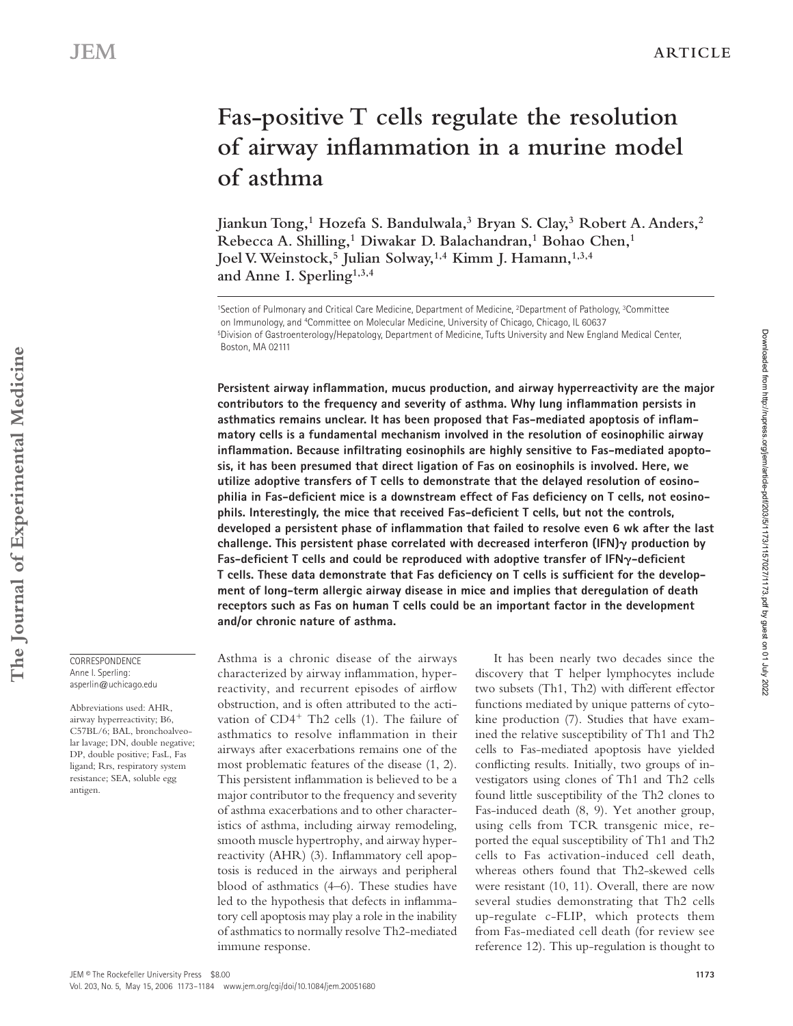# **Fas-positive T cells regulate the resolution**  of airway inflammation in a murine model **of asthma**

**Jiankun Tong,1 Hozefa S. Bandulwala,3 Bryan S. Clay,3 Robert A. Anders,2 Rebecca A. Shilling,1 Diwakar D. Balachandran,1 Bohao Chen,1** Joel V. Weinstock,<sup>5</sup> Julian Solway,<sup>1,4</sup> Kimm J. Hamann,<sup>1,3,4</sup> **and Anne I. Sperling1,3,4**

Persistent airway inflammation, mucus production, and airway hyperreactivity are the major contributors to the frequency and severity of asthma. Why lung inflammation persists in asthmatics remains unclear. It has been proposed that Fas-mediated apoptosis of inflam**matory cells is a fundamental mechanism involved in the resolution of eosinophilic airway**  inflammation. Because infiltrating eosinophils are highly sensitive to Fas-mediated apopto**sis, it has been presumed that direct ligation of Fas on eosinophils is involved. Here, we utilize adoptive transfers of T cells to demonstrate that the delayed resolution of eosino**philia in Fas-deficient mice is a downstream effect of Fas deficiency on T cells, not eosinophils. Interestingly, the mice that received Fas-deficient T cells, but not the controls, developed a persistent phase of inflammation that failed to resolve even 6 wk after the last challenge. This persistent phase correlated with decreased interferon  $(\text{IFN})\gamma$  production by **Fas-deficient T cells and could be reproduced with adoptive transfer of IFN<sub>γ</sub>-deficient** T cells. These data demonstrate that Fas deficiency on T cells is sufficient for the develop**ment of long-term allergic airway disease in mice and implies that deregulation of death receptors such as Fas on human T cells could be an important factor in the development and/or chronic nature of asthma.**

Asthma is a chronic disease of the airways characterized by airway inflammation, hyperreactivity, and recurrent episodes of airflow obstruction, and is often attributed to the activation of CD4<sup>+</sup> Th2 cells (1). The failure of asthmatics to resolve inflammation in their airways after exacerbations remains one of the most problematic features of the disease (1, 2). This persistent inflammation is believed to be a major contributor to the frequency and severity of asthma exacerbations and to other characteristics of asthma, including airway remodeling, smooth muscle hypertrophy, and airway hyperreactivity (AHR) (3). Inflammatory cell apoptosis is reduced in the airways and peripheral blood of asthmatics (4–6). These studies have led to the hypothesis that defects in inflammatory cell apoptosis may play a role in the inability of asthmatics to normally resolve Th2- mediated immune response.

It has been nearly two decades since the discovery that T helper lymphocytes include two subsets (Th1, Th2) with different effector functions mediated by unique patterns of cytokine production (7). Studies that have examined the relative susceptibility of Th1 and Th2 cells to Fas-mediated apoptosis have yielded conflicting results. Initially, two groups of investigators using clones of Th1 and Th2 cells found little susceptibility of the Th2 clones to Fas-induced death (8, 9). Yet another group, using cells from TCR transgenic mice, reported the equal susceptibility of Th1 and Th2 cells to Fas activation-induced cell death, whereas others found that Th2-skewed cells were resistant (10, 11). Overall, there are now several studies demonstrating that Th2 cells up-regulate c-FLIP, which protects them from Fas-mediated cell death (for review see reference 12). This up-regulation is thought to

**CORRESPONDENCE** Anne I. Sperling: asperlin@uchicago.edu

Abbreviations used: AHR, airway hyperreactivity; B6, C57BL/6; BAL, bronchoalveolar lavage; DN, double negative; DP, double positive; FasL, Fas ligand; Rrs, respiratory system resistance; SEA, soluble egg antigen.

Downloaded from http://rupress.org/jem/article-pdf/203/5/1173/1157027/1173.pdf by guest on 01 July 2022

Downloaded from http://rupress.org/jem/article-pdf/203/5/1173/1157027/1173.pdf by guest on 01 July 2022

<sup>1</sup>Section of Pulmonary and Critical Care Medicine, Department of Medicine, 2Department of Pathology, 3Committee on Immunology, and 4Committee on Molecular Medicine, University of Chicago, Chicago, IL 60637 5Division of Gastroenterology/Hepatology, Department of Medicine, Tufts University and New England Medical Center, Boston, MA 02111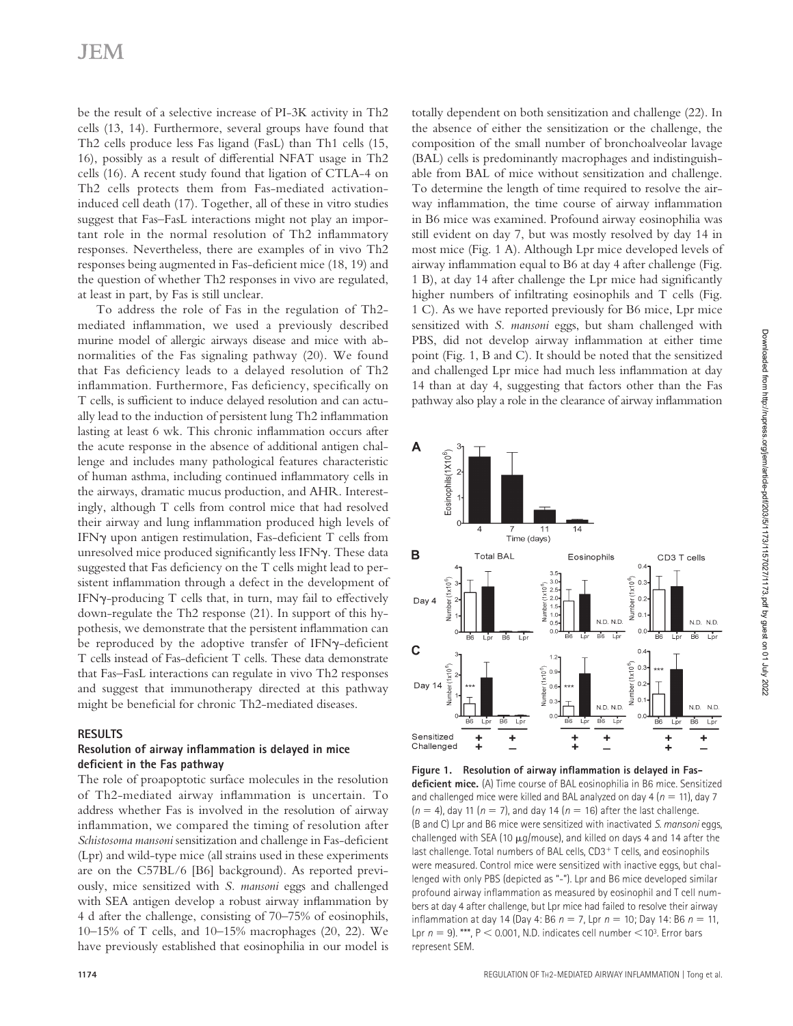be the result of a selective increase of PI-3K activity in Th2 cells (13, 14). Furthermore, several groups have found that Th2 cells produce less Fas ligand (FasL) than Th1 cells (15, 16), possibly as a result of differential NFAT usage in Th2 cells (16). A recent study found that ligation of CTLA-4 on Th2 cells protects them from Fas-mediated activationinduced cell death (17). Together, all of these in vitro studies suggest that Fas–FasL interactions might not play an important role in the normal resolution of Th2 inflammatory responses. Nevertheless, there are examples of in vivo Th2 responses being augmented in Fas-deficient mice (18, 19) and the question of whether Th2 responses in vivo are regulated, at least in part, by Fas is still unclear.

To address the role of Fas in the regulation of Th2 mediated inflammation, we used a previously described murine model of allergic airways disease and mice with abnormalities of the Fas signaling pathway (20). We found that Fas deficiency leads to a delayed resolution of Th2 inflammation. Furthermore, Fas deficiency, specifically on T cells, is sufficient to induce delayed resolution and can actually lead to the induction of persistent lung Th2 inflammation lasting at least 6 wk. This chronic inflammation occurs after the acute response in the absence of additional antigen challenge and includes many pathological features characteristic of human asthma, including continued inflammatory cells in the airways, dramatic mucus production, and AHR. Interestingly, although T cells from control mice that had resolved their airway and lung inflammation produced high levels of IFN $\gamma$  upon antigen restimulation, Fas-deficient T cells from unresolved mice produced significantly less IFN $\gamma$ . These data suggested that Fas deficiency on the T cells might lead to persistent inflammation through a defect in the development of IFN $\gamma$ -producing T cells that, in turn, may fail to effectively down-regulate the Th2 response (21). In support of this hypothesis, we demonstrate that the persistent inflammation can be reproduced by the adoptive transfer of IFNγ-deficient T cells instead of Fas-deficient T cells. These data demonstrate that Fas–FasL interactions can regulate in vivo Th2 responses and suggest that immunotherapy directed at this pathway might be beneficial for chronic Th2-mediated diseases.

#### **RESULTS**

#### **Resolution of airway inflammation is delayed in mice defi cient in the Fas pathway**

The role of proapoptotic surface molecules in the resolution of Th2-mediated airway inflammation is uncertain. To address whether Fas is involved in the resolution of airway inflammation, we compared the timing of resolution after *Schistosoma mansoni* sensitization and challenge in Fas-deficient (Lpr) and wild-type mice (all strains used in these experiments are on the C57BL/6 [B6] background). As reported previously, mice sensitized with *S. mansoni* eggs and challenged with SEA antigen develop a robust airway inflammation by 4 d after the challenge, consisting of 70–75% of eosinophils, 10–15% of T cells, and 10–15% macrophages (20, 22). We have previously established that eosinophilia in our model is

totally dependent on both sensitization and challenge (22). In the absence of either the sensitization or the challenge, the composition of the small number of bronchoalveolar lavage (BAL) cells is predominantly macrophages and indistinguishable from BAL of mice without sensitization and challenge. To determine the length of time required to resolve the airway inflammation, the time course of airway inflammation in B6 mice was examined. Profound airway eosinophilia was still evident on day 7, but was mostly resolved by day 14 in most mice (Fig. 1 A). Although Lpr mice developed levels of airway inflammation equal to B6 at day 4 after challenge (Fig. 1 B), at day 14 after challenge the Lpr mice had significantly higher numbers of infiltrating eosinophils and  $T$  cells (Fig. 1 C). As we have reported previously for B6 mice, Lpr mice sensitized with *S. mansoni* eggs, but sham challenged with PBS, did not develop airway inflammation at either time point (Fig. 1, B and C). It should be noted that the sensitized and challenged Lpr mice had much less inflammation at day 14 than at day 4, suggesting that factors other than the Fas pathway also play a role in the clearance of airway inflammation



Figure 1. Resolution of airway inflammation is delayed in Fas**deficient mice.** (A) Time course of BAL eosinophilia in B6 mice. Sensitized and challenged mice were killed and BAL analyzed on day 4 ( $n = 11$ ), day 7  $(n = 4)$ , day 11  $(n = 7)$ , and day 14  $(n = 16)$  after the last challenge. (B and C) Lpr and B6 mice were sensitized with inactivated S. mansoni eggs, challenged with SEA (10 μg/mouse), and killed on days 4 and 14 after the last challenge. Total numbers of BAL cells, CD3<sup>+</sup> T cells, and eosinophils were measured. Control mice were sensitized with inactive eggs, but challenged with only PBS (depicted as "-"). Lpr and B6 mice developed similar profound airway inflammation as measured by eosinophil and T cell numbers at day 4 after challenge, but Lpr mice had failed to resolve their airway inflammation at day 14 (Day 4: B6  $n = 7$ , Lpr  $n = 10$ ; Day 14: B6  $n = 11$ , Lpr  $n = 9$ ). \*\*\*,  $P < 0.001$ , N.D. indicates cell number  $< 10<sup>3</sup>$ . Error bars represent SEM.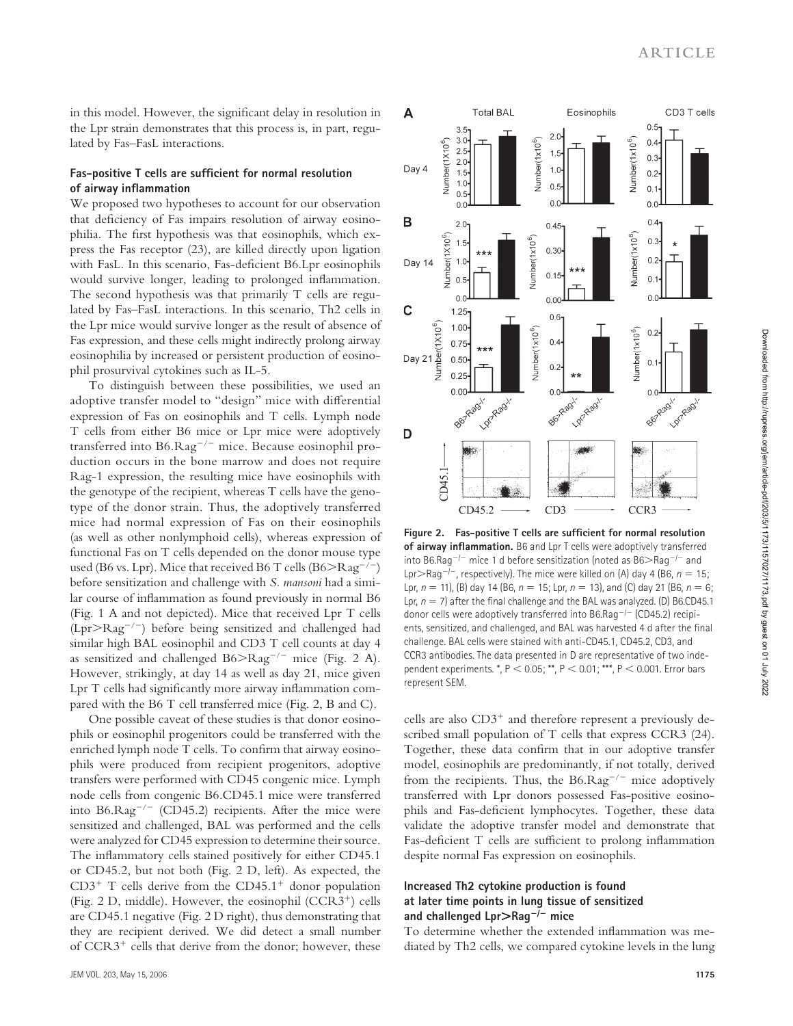in this model. However, the significant delay in resolution in the Lpr strain demonstrates that this process is, in part, regulated by Fas–FasL interactions.

#### Fas-positive T cells are sufficient for normal resolution **of airway inflammation**

We proposed two hypotheses to account for our observation that deficiency of Fas impairs resolution of airway eosinophilia. The first hypothesis was that eosinophils, which express the Fas receptor (23), are killed directly upon ligation with FasL. In this scenario, Fas-deficient B6.Lpr eosinophils would survive longer, leading to prolonged inflammation. The second hypothesis was that primarily T cells are regulated by Fas–FasL interactions. In this scenario, Th2 cells in the Lpr mice would survive longer as the result of absence of Fas expression, and these cells might indirectly prolong airway eosinophilia by increased or persistent production of eosinophil prosurvival cytokines such as IL-5.

To distinguish between these possibilities, we used an adoptive transfer model to "design" mice with differential expression of Fas on eosinophils and T cells. Lymph node T cells from either B6 mice or Lpr mice were adoptively transferred into B6.Rag<sup>−</sup>/<sup>−</sup> mice. Because eosinophil production occurs in the bone marrow and does not require Rag-1 expression, the resulting mice have eosinophils with the genotype of the recipient, whereas T cells have the genotype of the donor strain. Thus, the adoptively transferred mice had normal expression of Fas on their eosinophils (as well as other nonlymphoid cells), whereas expression of functional Fas on T cells depended on the donor mouse type used (B6 vs. Lpr). Mice that received B6 T cells (B6 $>$ Rag<sup>-/-</sup>) before sensitization and challenge with *S. mansoni* had a similar course of inflammation as found previously in normal B6 (Fig. 1 A and not depicted). Mice that received Lpr T cells (Lpr>Rag<sup>−</sup>/<sup>−</sup>) before being sensitized and challenged had similar high BAL eosinophil and CD3 T cell counts at day 4 as sensitized and challenged B6>Rag<sup>−</sup>/<sup>−</sup> mice (Fig. 2 A). However, strikingly, at day 14 as well as day 21, mice given Lpr T cells had significantly more airway inflammation compared with the B6 T cell transferred mice (Fig. 2, B and C).

One possible caveat of these studies is that donor eosinophils or eosinophil progenitors could be transferred with the enriched lymph node T cells. To confirm that airway eosinophils were produced from recipient progenitors, adoptive transfers were performed with CD45 congenic mice. Lymph node cells from congenic B6.CD45.1 mice were transferred into B6.Rag<sup>−</sup>/<sup>−</sup> (CD45.2) recipients. After the mice were sensitized and challenged, BAL was performed and the cells were analyzed for CD45 expression to determine their source. The inflammatory cells stained positively for either CD45.1 or CD45.2, but not both (Fig. 2 D, left). As expected, the  $CD3^+$  T cells derive from the  $CD45.1^+$  donor population (Fig. 2 D, middle). However, the eosinophil  $(CCR3<sup>+</sup>)$  cells are CD45.1 negative (Fig. 2 D right), thus demonstrating that they are recipient derived. We did detect a small number of CCR3<sup>+</sup> cells that derive from the donor; however, these



Figure 2. Fas-positive T cells are sufficient for normal resolution of airway inflammation. B6 and Lpr T cells were adoptively transferred into B6.Rag<sup>−</sup>/<sup>−</sup> mice 1 d before sensitization (noted as B6>Rag<sup>−</sup>/<sup>−</sup> and Lpr>Rag<sup>-/-</sup>, respectively). The mice were killed on (A) day 4 (B6,  $n = 15$ ; Lpr,  $n = 11$ , (B) day 14 (B6,  $n = 15$ ; Lpr,  $n = 13$ ), and (C) day 21 (B6,  $n = 6$ ; Lpr,  $n = 7$ ) after the final challenge and the BAL was analyzed. (D) B6.CD45.1 donor cells were adoptively transferred into B6.Rag<sup>−</sup>/<sup>−</sup> (CD45.2) recipients, sensitized, and challenged, and BAL was harvested 4 d after the final challenge. BAL cells were stained with anti-CD45.1, CD45.2, CD3, and CCR3 antibodies. The data presented in D are representative of two independent experiments. \*, P < 0.05; \*\*, P < 0.01; \*\*\*, P < 0.001. Error bars represent SEM.

cells are also  $CD3<sup>+</sup>$  and therefore represent a previously described small population of T cells that express CCR3 (24). Together, these data confirm that in our adoptive transfer model, eosinophils are predominantly, if not totally, derived from the recipients. Thus, the B6.Rag<sup>−</sup>/<sup>−</sup> mice adoptively transferred with Lpr donors possessed Fas-positive eosinophils and Fas-deficient lymphocytes. Together, these data validate the adoptive transfer model and demonstrate that Fas-deficient T cells are sufficient to prolong inflammation despite normal Fas expression on eosinophils.

#### **Increased Th2 cytokine production is found at later time points in lung tissue of sensitized and challenged Lpr**>**Rag**<sup>−</sup>**/**<sup>−</sup> **mice**

To determine whether the extended inflammation was mediated by Th2 cells, we compared cytokine levels in the lung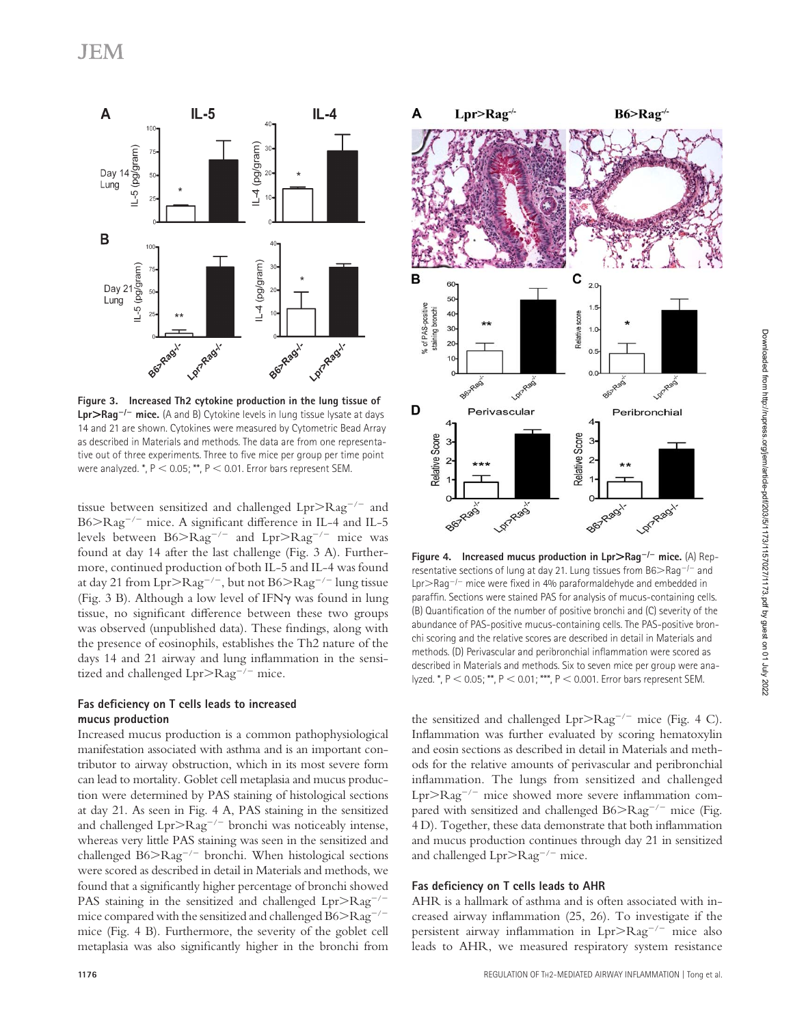

**Figure 3. Increased Th2 cytokine production in the lung tissue of Lpr**>**Rag**<sup>−</sup>**/**<sup>−</sup> **mice.** (A and B) Cytokine levels in lung tissue lysate at days 14 and 21 are shown. Cytokines were measured by Cytometric Bead Array as described in Materials and methods. The data are from one representative out of three experiments. Three to five mice per group per time point were analyzed.  $^*$ ,  $P < 0.05$ ;  $^{**}$ ,  $P < 0.01$ . Error bars represent SEM.

tissue between sensitized and challenged Lpr>Rag<sup>−</sup>/<sup>−</sup> and B6>Rag<sup>-/-</sup> mice. A significant difference in IL-4 and IL-5 levels between B6>Rag<sup>−</sup>/<sup>−</sup> and Lpr>Rag<sup>−</sup>/<sup>−</sup> mice was found at day 14 after the last challenge (Fig. 3 A). Furthermore, continued production of both IL-5 and IL-4 was found at day 21 from Lpr>Rag<sup>−</sup>/<sup>−</sup>, but not B6>Rag<sup>−</sup>/<sup>−</sup> lung tissue (Fig. 3 B). Although a low level of IFNγ was found in lung tissue, no significant difference between these two groups was observed (unpublished data). These findings, along with the presence of eosinophils, establishes the Th2 nature of the days 14 and 21 airway and lung inflammation in the sensitized and challenged Lpr>Rag<sup>−</sup>/<sup>−</sup> mice.

#### Fas deficiency on T cells leads to increased **mucus production**

Increased mucus production is a common pathophysiological manifestation associated with asthma and is an important contributor to airway obstruction, which in its most severe form can lead to mortality. Goblet cell metaplasia and mucus production were determined by PAS staining of histological sections at day 21. As seen in Fig. 4 A, PAS staining in the sensitized and challenged Lpr>Rag<sup>−</sup>/<sup>−</sup> bronchi was noticeably intense, whereas very little PAS staining was seen in the sensitized and challenged B6>Rag<sup>−</sup>/<sup>−</sup> bronchi. When histological sections were scored as described in detail in Materials and methods, we found that a significantly higher percentage of bronchi showed PAS staining in the sensitized and challenged Lpr>Rag<sup>-/-</sup> mice compared with the sensitized and challenged B6>Rag<sup>−</sup>/<sup>−</sup> mice (Fig. 4 B). Furthermore, the severity of the goblet cell metaplasia was also significantly higher in the bronchi from



**Figure 4. Increased mucus production in Lpr**>**Rag**<sup>−</sup>**/**<sup>−</sup> **mice.** (A) Representative sections of lung at day 21. Lung tissues from B6>Rag<sup>−</sup>/<sup>−</sup> and Lpr>Rag<sup>-/-</sup> mice were fixed in 4% paraformaldehyde and embedded in paraffin. Sections were stained PAS for analysis of mucus-containing cells. (B) Quantification of the number of positive bronchi and (C) severity of the abundance of PAS-positive mucus-containing cells. The PAS-positive bronchi scoring and the relative scores are described in detail in Materials and methods. (D) Perivascular and peribronchial inflammation were scored as described in Materials and methods. Six to seven mice per group were analyzed. \*, P < 0.05; \*\*, P < 0.01; \*\*\*, P < 0.001. Error bars represent SEM.

the sensitized and challenged Lpr>Rag<sup>−</sup>/<sup>−</sup> mice (Fig. 4 C). Inflammation was further evaluated by scoring hematoxylin and eosin sections as described in detail in Materials and methods for the relative amounts of perivascular and peribronchial inflammation. The lungs from sensitized and challenged Lpr>Rag<sup>-/-</sup> mice showed more severe inflammation compared with sensitized and challenged B6>Rag<sup>-/−</sup> mice (Fig. 4 D). Together, these data demonstrate that both inflammation and mucus production continues through day 21 in sensitized and challenged Lpr>Rag<sup>−</sup>/<sup>−</sup> mice.

#### Fas deficiency on T cells leads to AHR

AHR is a hallmark of asthma and is often associated with increased airway inflammation  $(25, 26)$ . To investigate if the persistent airway inflammation in Lpr>Rag<sup>-/-</sup> mice also leads to AHR, we measured respiratory system resistance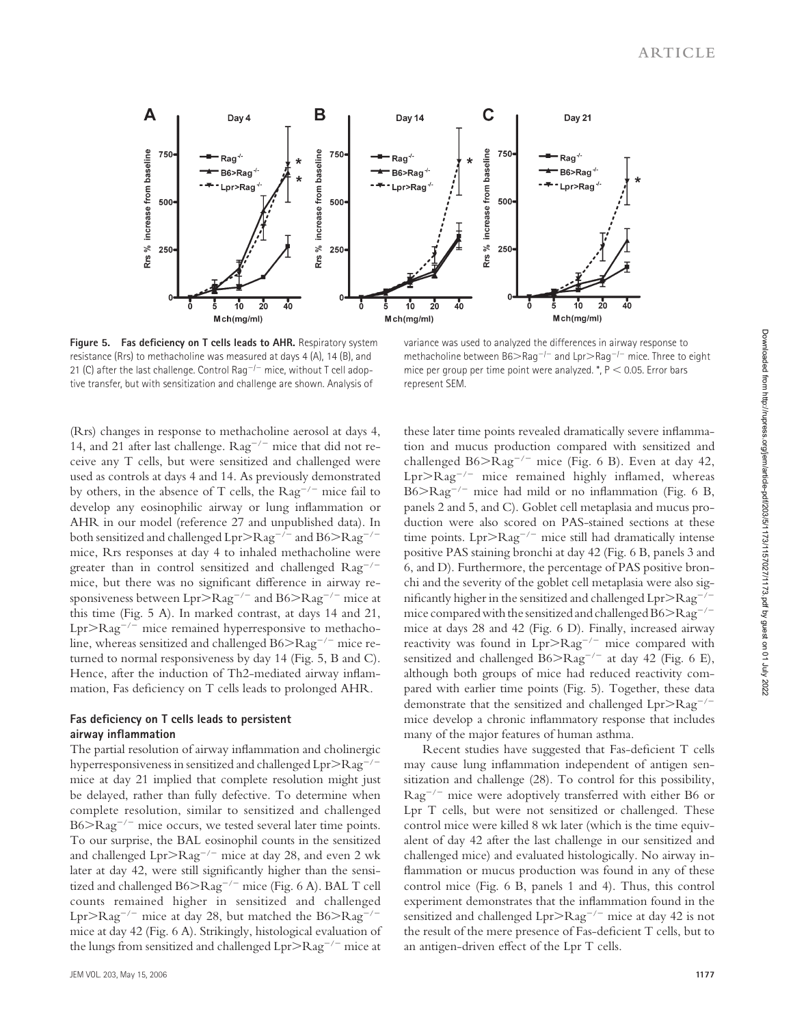

Figure 5. Fas deficiency on T cells leads to AHR. Respiratory system resistance (Rrs) to methacholine was measured at days 4 (A), 14 (B), and 21 (C) after the last challenge. Control Rag<sup>-/−</sup> mice, without T cell adoptive transfer, but with sensitization and challenge are shown. Analysis of

variance was used to analyzed the differences in airway response to methacholine between B6>Rag<sup>−</sup>/<sup>−</sup> and Lpr>Rag<sup>−</sup>/<sup>−</sup> mice. Three to eight mice per group per time point were analyzed. \*, P < 0.05. Error bars represent SEM.

(Rrs) changes in response to methacholine aerosol at days 4, 14, and 21 after last challenge. Rag<sup>−</sup>/<sup>−</sup> mice that did not receive any T cells, but were sensitized and challenged were used as controls at days 4 and 14. As previously demonstrated by others, in the absence of T cells, the Rag<sup>−</sup>/<sup>−</sup> mice fail to develop any eosinophilic airway or lung inflammation or AHR in our model (reference 27 and unpublished data). In both sensitized and challenged Lpr>Rag<sup>−</sup>/<sup>−</sup> and B6>Rag<sup>−</sup>/<sup>−</sup> mice, Rrs responses at day 4 to inhaled methacholine were greater than in control sensitized and challenged Rag<sup>−</sup>/<sup>−</sup> mice, but there was no significant difference in airway responsiveness between Lpr>Rag<sup>−</sup>/<sup>−</sup> and B6>Rag<sup>−</sup>/<sup>−</sup> mice at this time (Fig. 5 A). In marked contrast, at days 14 and 21, Lpr>Rag<sup>−</sup>/<sup>−</sup> mice remained hyperresponsive to methacholine, whereas sensitized and challenged B6>Rag<sup>−</sup>/<sup>−</sup> mice returned to normal responsiveness by day 14 (Fig. 5, B and C). Hence, after the induction of Th2-mediated airway inflammation, Fas deficiency on T cells leads to prolonged AHR.

#### Fas deficiency on T cells leads to persistent **airway infl ammation**

The partial resolution of airway inflammation and cholinergic hyperresponsiveness in sensitized and challenged Lpr>Rag<sup>−</sup>/<sup>−</sup> mice at day 21 implied that complete resolution might just be delayed, rather than fully defective. To determine when complete resolution, similar to sensitized and challenged B6>Rag<sup>-/-</sup> mice occurs, we tested several later time points. To our surprise, the BAL eosinophil counts in the sensitized and challenged Lpr>Rag<sup>−</sup>/<sup>−</sup> mice at day 28, and even 2 wk later at day 42, were still significantly higher than the sensitized and challenged B6>Rag<sup>−</sup>/<sup>−</sup> mice (Fig. 6 A). BAL T cell counts remained higher in sensitized and challenged Lpr>Rag<sup>−</sup>/<sup>−</sup> mice at day 28, but matched the B6>Rag<sup>−</sup>/<sup>−</sup> mice at day 42 (Fig. 6 A). Strikingly, histological evaluation of the lungs from sensitized and challenged Lpr>Rag<sup>−</sup>/<sup>−</sup> mice at

these later time points revealed dramatically severe inflammation and mucus production compared with sensitized and challenged B6 $>$ Rag<sup>-/-</sup> mice (Fig. 6 B). Even at day 42, Lpr>Rag<sup>-/-</sup> mice remained highly inflamed, whereas  $B6 > Rag^{-/-}$  mice had mild or no inflammation (Fig. 6 B, panels 2 and 5, and C). Goblet cell metaplasia and mucus production were also scored on PAS-stained sections at these time points. Lpr>Rag<sup>−</sup>/<sup>−</sup> mice still had dramatically intense positive PAS staining bronchi at day 42 (Fig. 6 B, panels 3 and 6, and D). Furthermore, the percentage of PAS positive bronchi and the severity of the goblet cell metaplasia were also significantly higher in the sensitized and challenged Lpr>Rag<sup>-/-</sup> mice compared with the sensitized and challenged B6>Rag<sup>−</sup>/<sup>−</sup> mice at days 28 and 42 (Fig. 6 D). Finally, increased airway reactivity was found in Lpr>Rag<sup>−</sup>/<sup>−</sup> mice compared with sensitized and challenged B6>Rag<sup>-/-</sup> at day 42 (Fig. 6 E), although both groups of mice had reduced reactivity compared with earlier time points (Fig. 5). Together, these data demonstrate that the sensitized and challenged Lpr>Rag<sup>−</sup>/<sup>−</sup> mice develop a chronic inflammatory response that includes many of the major features of human asthma.

Recent studies have suggested that Fas-deficient T cells may cause lung inflammation independent of antigen sensitization and challenge (28). To control for this possibility, Rag<sup>−</sup>/<sup>−</sup> mice were adoptively transferred with either B6 or Lpr T cells, but were not sensitized or challenged. These control mice were killed 8 wk later (which is the time equivalent of day 42 after the last challenge in our sensitized and challenged mice) and evaluated histologically. No airway inflammation or mucus production was found in any of these control mice (Fig. 6 B, panels 1 and 4). Thus, this control experiment demonstrates that the inflammation found in the sensitized and challenged Lpr>Rag<sup>−</sup>/<sup>−</sup> mice at day 42 is not the result of the mere presence of Fas-deficient T cells, but to an antigen-driven effect of the Lpr T cells.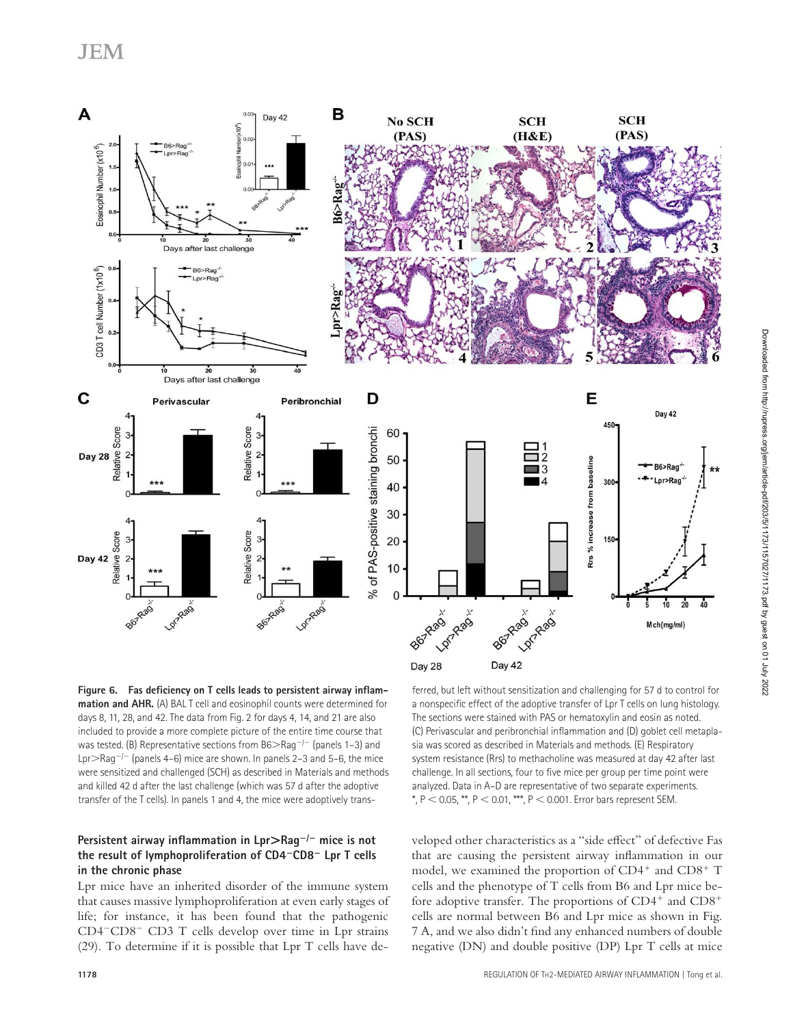

Figure 6. Fas deficiency on T cells leads to persistent airway inflam**mation and AHR.** (A) BAL T cell and eosinophil counts were determined for days 8, 11, 28, and 42. The data from Fig. 2 for days 4, 14, and 21 are also included to provide a more complete picture of the entire time course that was tested. (B) Representative sections from B6>Rag<sup>-/−</sup> (panels 1–3) and Lpr>Rag<sup>−</sup>/<sup>−</sup> (panels 4–6) mice are shown. In panels 2–3 and 5–6, the mice were sensitized and challenged (SCH) as described in Materials and methods and killed 42 d after the last challenge (which was 57 d after the adoptive transfer of the T cells). In panels 1 and 4, the mice were adoptively trans-

#### **Persistent airway inflammation in Lpr>Rag<sup>-/−</sup> mice is not the result of lymphoproliferation of CD4**<sup>−</sup>**CD8**<sup>−</sup> **Lpr T cells in the chronic phase**

Lpr mice have an inherited disorder of the immune system that causes massive lymphoproliferation at even early stages of life; for instance, it has been found that the pathogenic CD4<sup>−</sup>CD8<sup>−</sup> CD3 T cells develop over time in Lpr strains (29). To determine if it is possible that Lpr T cells have de-

ferred, but left without sensitization and challenging for 57 d to control for a nonspecific effect of the adoptive transfer of Lpr T cells on lung histology. The sections were stained with PAS or hematoxylin and eosin as noted. (C) Perivascular and peribronchial inflammation and (D) goblet cell metaplasia was scored as described in Materials and methods. (E) Respiratory system resistance (Rrs) to methacholine was measured at day 42 after last challenge. In all sections, four to five mice per group per time point were analyzed. Data in A–D are representative of two separate experiments.  $*$ ,  $P < 0.05$ ,  $*$ ,  $P < 0.01$ ,  $***$ ,  $P < 0.001$ . Error bars represent SEM.

veloped other characteristics as a "side effect" of defective Fas that are causing the persistent airway inflammation in our model, we examined the proportion of  $CD4^+$  and  $CD8^+$  T cells and the phenotype of T cells from B6 and Lpr mice before adoptive transfer. The proportions of  $CD4^+$  and  $CD8^+$ cells are normal between B6 and Lpr mice as shown in Fig. 7 A, and we also didn't find any enhanced numbers of double negative (DN) and double positive (DP) Lpr T cells at mice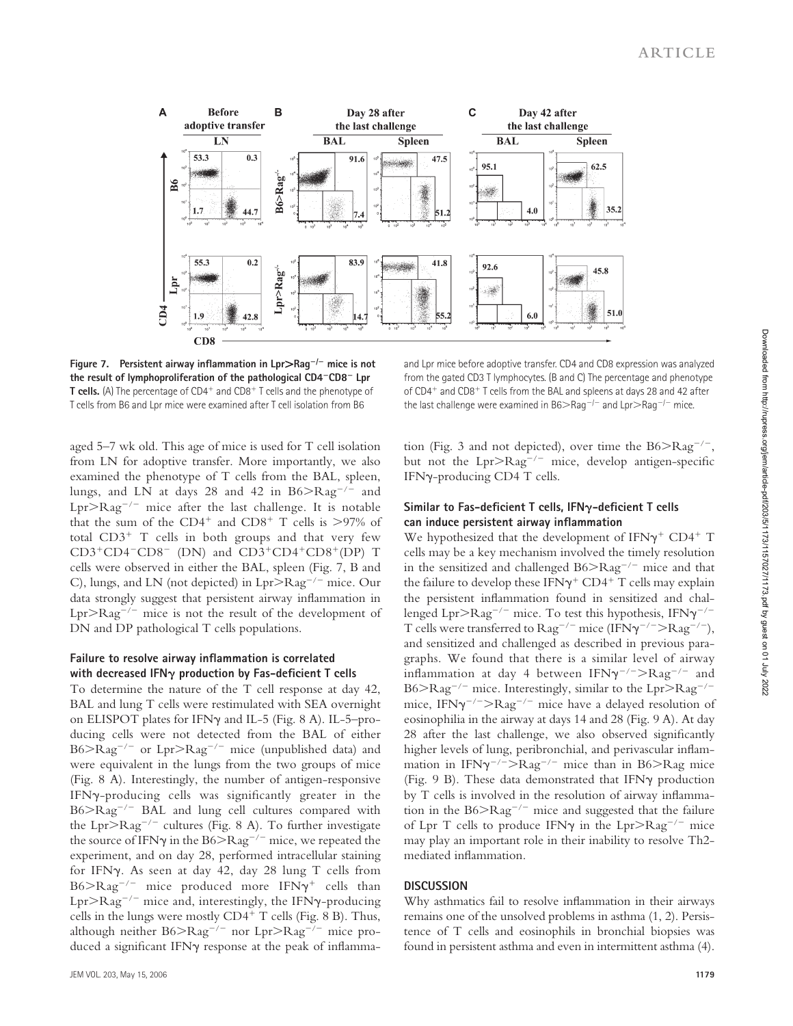

**Figure 7. Persistent airway infl ammation in Lpr**>**Rag**<sup>−</sup>**/**<sup>−</sup> **mice is not the result of lymphoproliferation of the pathological CD4**<sup>−</sup>**CD8**<sup>−</sup> **Lpr T cells.** (A) The percentage of CD4<sup>+</sup> and CD8<sup>+</sup> T cells and the phenotype of T cells from B6 and Lpr mice were examined after T cell isolation from B6

and Lpr mice before adoptive transfer. CD4 and CD8 expression was analyzed from the gated CD3 T lymphocytes. (B and C) The percentage and phenotype of CD4<sup>+</sup> and CD8<sup>+</sup> T cells from the BAL and spleens at days 28 and 42 after the last challenge were examined in B6>Rag<sup>−</sup>/<sup>−</sup> and Lpr>Rag<sup>−</sup>/<sup>−</sup> mice.

aged 5–7 wk old. This age of mice is used for T cell isolation from LN for adoptive transfer. More importantly, we also examined the phenotype of T cells from the BAL, spleen, lungs, and LN at days 28 and 42 in B6>Rag<sup>−</sup>/<sup>−</sup> and Lpr>Rag<sup>−</sup>/<sup>−</sup> mice after the last challenge. It is notable that the sum of the CD4<sup>+</sup> and CD8<sup>+</sup> T cells is  $>97\%$  of total CD3<sup>+</sup> T cells in both groups and that very few CD3<sup>+</sup>CD4<sup>−</sup>CD8<sup>−</sup> (DN) and CD3<sup>+</sup>CD4<sup>+</sup>CD8<sup>+</sup>(DP) T cells were observed in either the BAL, spleen (Fig. 7, B and C), lungs, and LN (not depicted) in Lpr>Rag<sup>−</sup>/<sup>−</sup> mice. Our data strongly suggest that persistent airway inflammation in Lpr>Rag<sup>−</sup>/<sup>−</sup> mice is not the result of the development of DN and DP pathological T cells populations.

#### Failure to resolve airway inflammation is correlated with decreased IFN<sub>Y</sub> production by Fas-deficient T cells

To determine the nature of the T cell response at day 42, BAL and lung T cells were restimulated with SEA overnight on ELISPOT plates for IFNγ and IL-5 (Fig. 8 A). IL-5–producing cells were not detected from the BAL of either B6>Rag<sup>−</sup>/<sup>−</sup> or Lpr>Rag<sup>−</sup>/<sup>−</sup> mice (unpublished data) and were equivalent in the lungs from the two groups of mice (Fig. 8 A). Interestingly, the number of antigen-responsive IFN $\gamma$ -producing cells was significantly greater in the B6>Rag<sup>−</sup>/<sup>−</sup> BAL and lung cell cultures compared with the Lpr>Rag<sup>−</sup>/<sup>−</sup> cultures (Fig. 8 A). To further investigate the source of IFNγ in the B6>Rag<sup>-/−</sup> mice, we repeated the experiment, and on day 28, performed intracellular staining for IFNγ. As seen at day 42, day 28 lung T cells from B6>Rag<sup>−</sup>/<sup>−</sup> mice produced more IFNγ+ cells than Lpr>Rag<sup>−</sup>/<sup>−</sup> mice and, interestingly, the IFNγ-producing cells in the lungs were mostly CD4<sup>+</sup> T cells (Fig. 8 B). Thus, although neither B6>Rag<sup>−</sup>/<sup>−</sup> nor Lpr>Rag<sup>−</sup>/<sup>−</sup> mice produced a significant IFNγ response at the peak of inflammation (Fig. 3 and not depicted), over time the B6>Rag<sup>−</sup>/<sup>−</sup>, but not the  $Lpr > Rag^{-/-}$  mice, develop antigen-specific

### Similar to Fas-deficient T cells, IFN<sub>Y</sub>-deficient T cells can induce persistent airway inflammation

IFNγ-producing CD4 T cells.

We hypothesized that the development of  $IFN\gamma^+$  CD4<sup>+</sup> T cells may be a key mechanism involved the timely resolution in the sensitized and challenged B6>Rag<sup>−</sup>/<sup>−</sup> mice and that the failure to develop these IFN $\gamma$ <sup>+</sup> CD4<sup>+</sup> T cells may explain the persistent inflammation found in sensitized and challenged Lpr>Rag<sup>-/-</sup> mice. To test this hypothesis, IFN $\gamma^{-/-}$ T cells were transferred to Rag<sup>−</sup>/<sup>−</sup> mice (IFNγ−/−>Rag<sup>−</sup>/<sup>−</sup>), and sensitized and challenged as described in previous paragraphs. We found that there is a similar level of airway inflammation at day 4 between IFN $\gamma^{-/-}$ >Rag<sup>-/-</sup> and B6>Rag<sup>−</sup>/<sup>−</sup> mice. Interestingly, similar to the Lpr>Rag<sup>−</sup>/<sup>−</sup> mice, IFNγ−/−>Rag<sup>−</sup>/<sup>−</sup> mice have a delayed resolution of eosinophilia in the airway at days 14 and 28 (Fig. 9 A). At day 28 after the last challenge, we also observed significantly higher levels of lung, peribronchial, and perivascular inflammation in IFNγ−/−>Rag<sup>−</sup>/<sup>−</sup> mice than in B6>Rag mice (Fig. 9 B). These data demonstrated that IFNγ production by T cells is involved in the resolution of airway inflammation in the B6>Rag<sup>−</sup>/<sup>−</sup> mice and suggested that the failure of Lpr T cells to produce IFNγ in the Lpr>Rag<sup>−</sup>/<sup>−</sup> mice may play an important role in their inability to resolve Th2 mediated inflammation.

#### **DISCUSSION**

Why asthmatics fail to resolve inflammation in their airways remains one of the unsolved problems in asthma (1, 2). Persistence of T cells and eosinophils in bronchial biopsies was found in persistent asthma and even in intermittent asthma (4).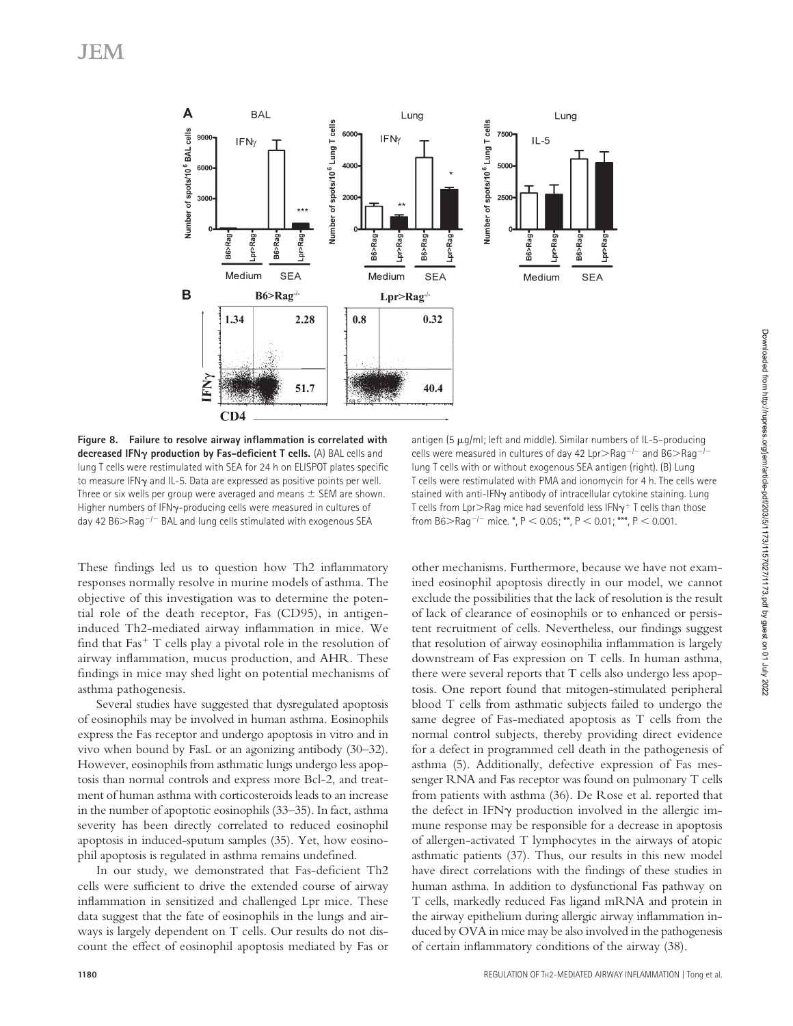

Figure 8. Failure to resolve airway inflammation is correlated with decreased IFN<sub> $\gamma$ </sub> production by Fas-deficient T cells. (A) BAL cells and lung T cells were restimulated with SEA for 24 h on ELISPOT plates specific to measure IFNγ and IL-5. Data are expressed as positive points per well. Three or six wells per group were averaged and means  $\pm$  SEM are shown. Higher numbers of IFNγ-producing cells were measured in cultures of day 42 B6>Rag<sup>−</sup>/<sup>−</sup> BAL and lung cells stimulated with exogenous SEA

antigen (5  $\mu$ g/ml; left and middle). Similar numbers of IL-5-producing cells were measured in cultures of day 42 Lpr>Rag<sup>-/-</sup> and B6>Rag<sup>-/-</sup> lung T cells with or without exogenous SEA antigen (right). (B) Lung T cells were restimulated with PMA and ionomycin for 4 h. The cells were stained with anti-IFNγ antibody of intracellular cytokine staining. Lung T cells from Lpr $>$ Rag mice had sevenfold less IFN $\gamma$ <sup>+</sup> T cells than those from B6>Rag<sup>-/-</sup> mice. \*, P < 0.05; \*\*, P < 0.01; \*\*\*, P < 0.001.

These findings led us to question how Th2 inflammatory responses normally resolve in murine models of asthma. The objective of this investigation was to determine the potential role of the death receptor, Fas (CD95), in antigeninduced Th2-mediated airway inflammation in mice. We find that  $Fast<sup>+</sup> T$  cells play a pivotal role in the resolution of airway inflammation, mucus production, and AHR. These findings in mice may shed light on potential mechanisms of asthma pathogenesis.

Several studies have suggested that dysregulated apoptosis of eosinophils may be involved in human asthma. Eosinophils express the Fas receptor and undergo apoptosis in vitro and in vivo when bound by FasL or an agonizing antibody (30–32). However, eosinophils from asthmatic lungs undergo less apoptosis than normal controls and express more Bcl-2, and treatment of human asthma with corticosteroids leads to an increase in the number of apoptotic eosinophils (33–35). In fact, asthma severity has been directly correlated to reduced eosinophil apoptosis in induced-sputum samples (35). Yet, how eosinophil apoptosis is regulated in asthma remains undefined.

In our study, we demonstrated that Fas-deficient Th2 cells were sufficient to drive the extended course of airway inflammation in sensitized and challenged Lpr mice. These data suggest that the fate of eosinophils in the lungs and airways is largely dependent on T cells. Our results do not discount the effect of eosinophil apoptosis mediated by Fas or

other mechanisms. Furthermore, because we have not examined eosinophil apoptosis directly in our model, we cannot exclude the possibilities that the lack of resolution is the result of lack of clearance of eosinophils or to enhanced or persistent recruitment of cells. Nevertheless, our findings suggest that resolution of airway eosinophilia inflammation is largely downstream of Fas expression on T cells. In human asthma, there were several reports that T cells also undergo less apoptosis. One report found that mitogen-stimulated peripheral blood T cells from asthmatic subjects failed to undergo the same degree of Fas-mediated apoptosis as T cells from the normal control subjects, thereby providing direct evidence for a defect in programmed cell death in the pathogenesis of asthma (5). Additionally, defective expression of Fas messenger RNA and Fas receptor was found on pulmonary T cells from patients with asthma (36). De Rose et al. reported that the defect in IFNγ production involved in the allergic immune response may be responsible for a decrease in apoptosis of allergen-activated T lymphocytes in the airways of atopic asthmatic patients (37). Thus, our results in this new model have direct correlations with the findings of these studies in human asthma. In addition to dysfunctional Fas pathway on T cells, markedly reduced Fas ligand mRNA and protein in the airway epithelium during allergic airway inflammation induced by OVA in mice may be also involved in the pathogenesis of certain inflammatory conditions of the airway (38).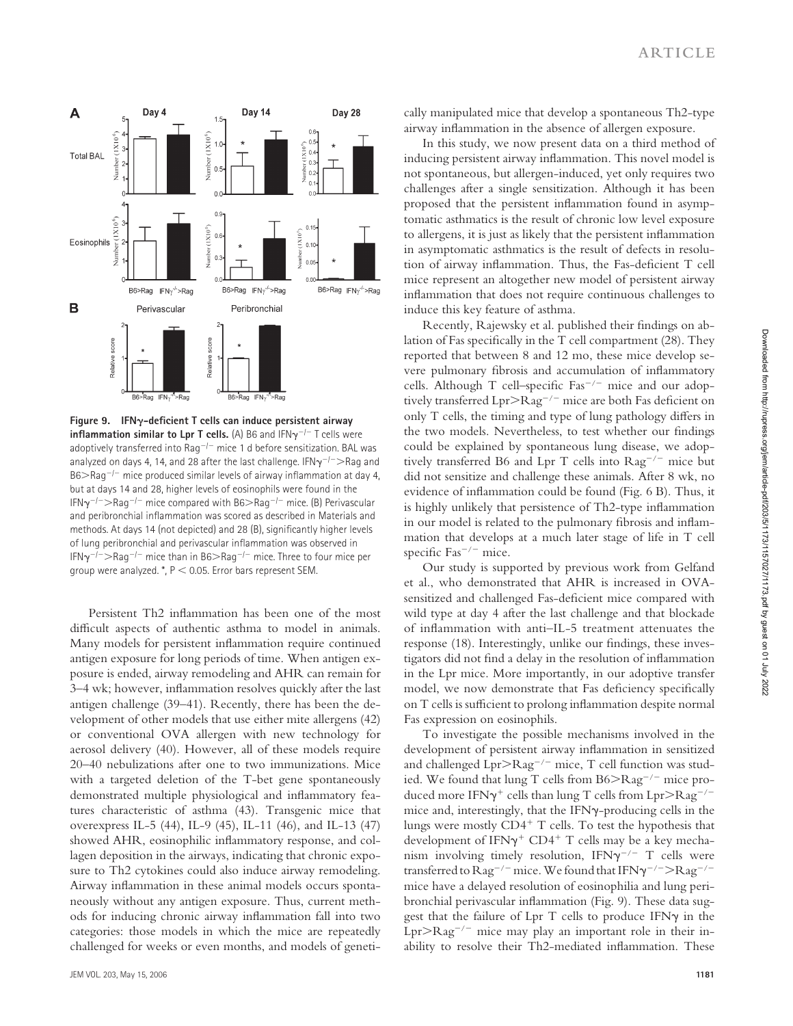

**Figure 9. IFN-defi cient T cells can induce persistent airway inflammation similar to Lpr T cells.** (A) B6 and IFNγ<sup>-/−</sup> T cells were adoptively transferred into Rag<sup>−</sup>/<sup>−</sup> mice 1 d before sensitization. BAL was analyzed on days 4, 14, and 28 after the last challenge. IFN $\gamma^{-/-}$  > Rag and B6>Rag<sup>-/−</sup> mice produced similar levels of airway inflammation at day 4, but at days 14 and 28, higher levels of eosinophils were found in the IFNγ−/−>Rag<sup>−</sup>/<sup>−</sup> mice compared with B6>Rag<sup>−</sup>/<sup>−</sup> mice. (B) Perivascular and peribronchial inflammation was scored as described in Materials and methods. At days 14 (not depicted) and 28 (B), significantly higher levels of lung peribronchial and perivascular inflammation was observed in IFNγ−/−>Rag<sup>−</sup>/<sup>−</sup> mice than in B6>Rag<sup>−</sup>/<sup>−</sup> mice. Three to four mice per group were analyzed. \*, P < 0.05. Error bars represent SEM.

Persistent Th2 inflammation has been one of the most difficult aspects of authentic asthma to model in animals. Many models for persistent inflammation require continued antigen exposure for long periods of time. When antigen exposure is ended, airway remodeling and AHR can remain for 3–4 wk; however, inflammation resolves quickly after the last antigen challenge (39–41). Recently, there has been the development of other models that use either mite allergens (42) or conventional OVA allergen with new technology for aerosol delivery (40). However, all of these models require 20–40 nebulizations after one to two immunizations. Mice with a targeted deletion of the T-bet gene spontaneously demonstrated multiple physiological and inflammatory features characteristic of asthma (43). Transgenic mice that overexpress IL-5 (44), IL-9 (45), IL-11 (46), and IL-13 (47) showed AHR, eosinophilic inflammatory response, and collagen deposition in the airways, indicating that chronic exposure to Th2 cytokines could also induce airway remodeling. Airway inflammation in these animal models occurs spontaneously without any antigen exposure. Thus, current methods for inducing chronic airway inflammation fall into two categories: those models in which the mice are repeatedly challenged for weeks or even months, and models of genetically manipulated mice that develop a spontaneous Th2-type airway inflammation in the absence of allergen exposure.

In this study, we now present data on a third method of inducing persistent airway inflammation. This novel model is not spontaneous, but allergen-induced, yet only requires two challenges after a single sensitization. Although it has been proposed that the persistent inflammation found in asymptomatic asthmatics is the result of chronic low level exposure to allergens, it is just as likely that the persistent inflammation in asymptomatic asthmatics is the result of defects in resolution of airway inflammation. Thus, the Fas-deficient T cell mice represent an altogether new model of persistent airway inflammation that does not require continuous challenges to induce this key feature of asthma.

Recently, Rajewsky et al. published their findings on ablation of Fas specifically in the T cell compartment (28). They reported that between 8 and 12 mo, these mice develop severe pulmonary fibrosis and accumulation of inflammatory cells. Although T cell–specific  $\text{Fas}^{-/-}$  mice and our adoptively transferred Lpr>Rag<sup>-/-</sup> mice are both Fas deficient on only T cells, the timing and type of lung pathology differs in the two models. Nevertheless, to test whether our findings could be explained by spontaneous lung disease, we adoptively transferred B6 and Lpr T cells into Rag<sup>−</sup>/<sup>−</sup> mice but did not sensitize and challenge these animals. After 8 wk, no evidence of inflammation could be found (Fig. 6 B). Thus, it is highly unlikely that persistence of Th2-type inflammation in our model is related to the pulmonary fibrosis and inflammation that develops at a much later stage of life in T cell specific Fas<sup>-/-</sup> mice.

Our study is supported by previous work from Gelfand et al., who demonstrated that AHR is increased in OVAsensitized and challenged Fas-deficient mice compared with wild type at day 4 after the last challenge and that blockade of inflammation with anti-IL-5 treatment attenuates the response (18). Interestingly, unlike our findings, these investigators did not find a delay in the resolution of inflammation in the Lpr mice. More importantly, in our adoptive transfer model, we now demonstrate that Fas deficiency specifically on T cells is sufficient to prolong inflammation despite normal Fas expression on eosinophils.

To investigate the possible mechanisms involved in the development of persistent airway inflammation in sensitized and challenged Lpr>Rag<sup>−</sup>/<sup>−</sup> mice, T cell function was studied. We found that lung T cells from B6>Rag<sup>−</sup>/<sup>−</sup> mice produced more IFN $\gamma^+$  cells than lung T cells from Lpr $\geq$ Rag<sup>-/−</sup> mice and, interestingly, that the IFNγ-producing cells in the lungs were mostly CD4<sup>+</sup> T cells. To test the hypothesis that development of IFN $\gamma$ <sup>+</sup> CD4<sup>+</sup> T cells may be a key mechanism involving timely resolution, IFN $\gamma^{-/-}$  T cells were transferred to  $\text{Rag}^{-/-}$  mice. We found that IFN $\gamma^{-/-}$  $\text{Rag}^{-/-}$ mice have a delayed resolution of eosinophilia and lung peribronchial perivascular inflammation (Fig. 9). These data suggest that the failure of Lpr T cells to produce IFN $\gamma$  in the Lpr>Rag<sup>−</sup>/<sup>−</sup> mice may play an important role in their inability to resolve their Th2-mediated inflammation. These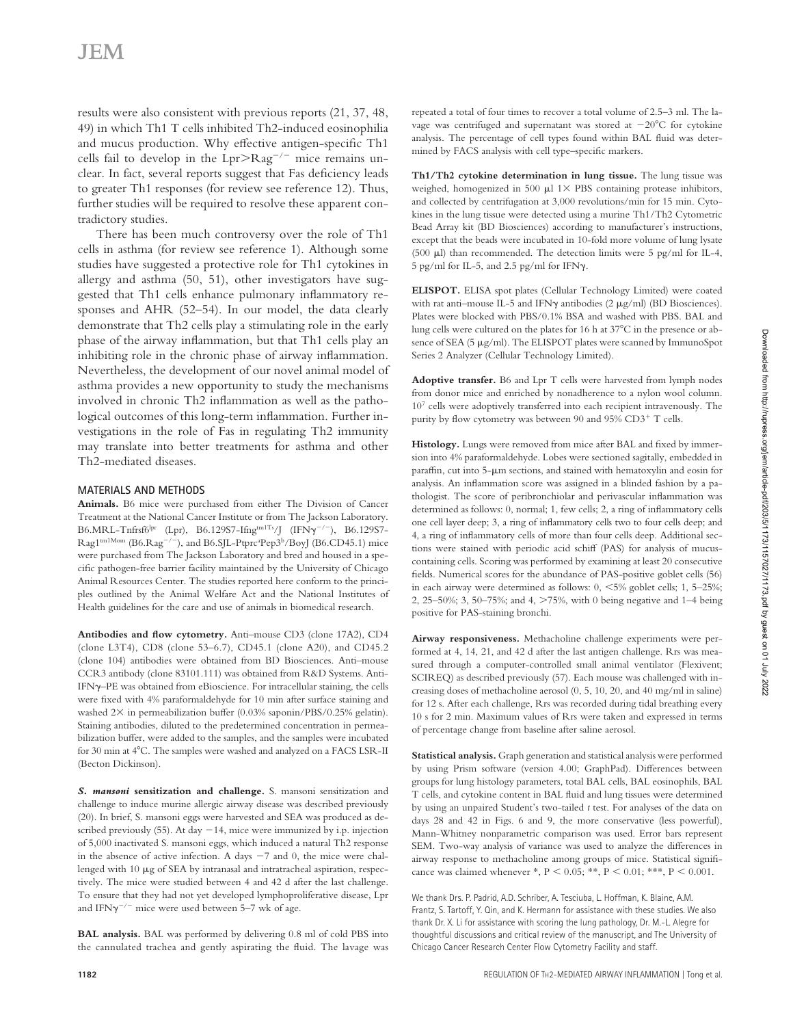results were also consistent with previous reports (21, 37, 48, 49) in which Th1 T cells inhibited Th2-induced eosinophilia and mucus production. Why effective antigen-specific Th1 cells fail to develop in the Lpr>Rag<sup>−</sup>/<sup>−</sup> mice remains unclear. In fact, several reports suggest that Fas deficiency leads to greater Th1 responses (for review see reference 12). Thus, further studies will be required to resolve these apparent contradictory studies.

There has been much controversy over the role of Th1 cells in asthma (for review see reference 1). Although some studies have suggested a protective role for Th1 cytokines in allergy and asthma (50, 51), other investigators have suggested that Th1 cells enhance pulmonary inflammatory responses and AHR (52–54). In our model, the data clearly demonstrate that Th2 cells play a stimulating role in the early phase of the airway inflammation, but that Th1 cells play an inhibiting role in the chronic phase of airway inflammation. Nevertheless, the development of our novel animal model of asthma provides a new opportunity to study the mechanisms involved in chronic Th2 inflammation as well as the pathological outcomes of this long-term inflammation. Further investigations in the role of Fas in regulating Th2 immunity may translate into better treatments for asthma and other Th2-mediated diseases.

#### **MATERIALS AND METHODS**

**Animals.** B6 mice were purchased from either The Division of Cancer Treatment at the National Cancer Institute or from The Jackson Laboratory. B6.MRL-Tnfrsf6lpr (Lpr), B6.129S7-Ifngtm1Ts/J (IFNγ−/<sup>−</sup>), B6.129S7- Rag1<sup>tm1Mom</sup> (B6.Rag<sup>-/-</sup>), and B6.SJL-Ptprc<sup>a</sup>Pep3<sup>b</sup>/BoyJ (B6.CD45.1) mice were purchased from The Jackson Laboratory and bred and housed in a specific pathogen-free barrier facility maintained by the University of Chicago Animal Resources Center. The studies reported here conform to the principles outlined by the Animal Welfare Act and the National Institutes of Health guidelines for the care and use of animals in biomedical research.

Antibodies and flow cytometry. Anti-mouse CD3 (clone 17A2), CD4 (clone L3T4), CD8 (clone 53–6.7), CD45.1 (clone A20), and CD45.2 (clone 104) antibodies were obtained from BD Biosciences. Anti–mouse CCR3 antibody (clone 83101.111) was obtained from R&D Systems. Anti-IFNγ–PE was obtained from eBioscience. For intracellular staining, the cells were fixed with 4% paraformaldehyde for 10 min after surface staining and washed  $2\times$  in permeabilization buffer (0.03% saponin/PBS/0.25% gelatin). Staining antibodies, diluted to the predetermined concentration in permeabilization buffer, were added to the samples, and the samples were incubated for 30 min at 4°C. The samples were washed and analyzed on a FACS LSR-II (Becton Dickinson).

*S. mansoni* **sensitization and challenge.** S. mansoni sensitization and challenge to induce murine allergic airway disease was described previously (20). In brief, S. mansoni eggs were harvested and SEA was produced as described previously (55). At day −14, mice were immunized by i.p. injection of 5,000 inactivated S. mansoni eggs, which induced a natural Th2 response in the absence of active infection. A days −7 and 0, the mice were challenged with 10 μg of SEA by intranasal and intratracheal aspiration, respectively. The mice were studied between 4 and 42 d after the last challenge. To ensure that they had not yet developed lymphoproliferative disease, Lpr and IFNγ−/<sup>−</sup> mice were used between 5–7 wk of age.

**BAL analysis.** BAL was performed by delivering 0.8 ml of cold PBS into the cannulated trachea and gently aspirating the fluid. The lavage was

repeated a total of four times to recover a total volume of 2.5–3 ml. The lavage was centrifuged and supernatant was stored at −20°C for cytokine analysis. The percentage of cell types found within BAL fluid was determined by FACS analysis with cell type-specific markers.

**Th1/Th2 cytokine determination in lung tissue.** The lung tissue was weighed, homogenized in 500  $\mu$ l 1 $\times$  PBS containing protease inhibitors, and collected by centrifugation at 3,000 revolutions/min for 15 min. Cytokines in the lung tissue were detected using a murine Th1/Th2 Cytometric Bead Array kit (BD Biosciences) according to manufacturer's instructions, except that the beads were incubated in 10-fold more volume of lung lysate (500 μl) than recommended. The detection limits were 5 pg/ml for IL-4, 5 pg/ml for IL-5, and 2.5 pg/ml for IFNγ.

**ELISPOT.** ELISA spot plates (Cellular Technology Limited) were coated with rat anti–mouse IL-5 and IFNγ antibodies (2 μg/ml) (BD Biosciences). Plates were blocked with PBS/0.1% BSA and washed with PBS. BAL and lung cells were cultured on the plates for 16 h at 37°C in the presence or absence of SEA (5 μg/ml). The ELISPOT plates were scanned by ImmunoSpot Series 2 Analyzer (Cellular Technology Limited).

**Adoptive transfer.** B6 and Lpr T cells were harvested from lymph nodes from donor mice and enriched by nonadherence to a nylon wool column. 107 cells were adoptively transferred into each recipient intravenously. The purity by flow cytometry was between 90 and 95%  $CD3^+$  T cells.

Histology. Lungs were removed from mice after BAL and fixed by immersion into 4% paraformaldehyde. Lobes were sectioned sagitally, embedded in paraffin, cut into 5- $\mu$ m sections, and stained with hematoxylin and eosin for analysis. An inflammation score was assigned in a blinded fashion by a pathologist. The score of peribronchiolar and perivascular inflammation was determined as follows: 0, normal; 1, few cells; 2, a ring of inflammatory cells one cell layer deep; 3, a ring of inflammatory cells two to four cells deep; and 4, a ring of inflammatory cells of more than four cells deep. Additional sections were stained with periodic acid schiff (PAS) for analysis of mucuscontaining cells. Scoring was performed by examining at least 20 consecutive fields. Numerical scores for the abundance of PAS-positive goblet cells (56) in each airway were determined as follows: 0, <5% goblet cells; 1, 5–25%; 2, 25–50%; 3, 50–75%; and 4, >75%, with 0 being negative and 1–4 being positive for PAS-staining bronchi.

**Airway responsiveness.** Methacholine challenge experiments were performed at 4, 14, 21, and 42 d after the last antigen challenge. Rrs was measured through a computer-controlled small animal ventilator (Flexivent; SCIREQ) as described previously (57). Each mouse was challenged with increasing doses of methacholine aerosol (0, 5, 10, 20, and 40 mg/ml in saline) for 12 s. After each challenge, Rrs was recorded during tidal breathing every 10 s for 2 min. Maximum values of Rrs were taken and expressed in terms of percentage change from baseline after saline aerosol.

**Statistical analysis.** Graph generation and statistical analysis were performed by using Prism software (version 4.00; GraphPad). Differences between groups for lung histology parameters, total BAL cells, BAL eosinophils, BAL T cells, and cytokine content in BAL fluid and lung tissues were determined by using an unpaired Student's two-tailed *t* test. For analyses of the data on days 28 and 42 in Figs. 6 and 9, the more conservative (less powerful), Mann-Whitney nonparametric comparison was used. Error bars represent SEM. Two-way analysis of variance was used to analyze the differences in airway response to methacholine among groups of mice. Statistical significance was claimed whenever \*, P < 0.05; \*\*, P < 0.01; \*\*\*, P < 0.001.

We thank Drs. P. Padrid, A.D. Schriber, A. Tesciuba, L. Hoffman, K. Blaine, A.M. Frantz, S. Tartoff, Y. Qin, and K. Hermann for assistance with these studies. We also thank Dr. X. Li for assistance with scoring the lung pathology, Dr. M.-L. Alegre for thoughtful discussions and critical review of the manuscript, and The University of Chicago Cancer Research Center Flow Cytometry Facility and staff.

Downloaded from http://rupress.org/jem/article-pdf/203/5/1173/1157027/1173.pdf by guest on 01 July 2022

Downloaded from http://rupress.org/jem/article-pdf/203/5/1173/1157027/1173.pdf by guest on 01 July 2022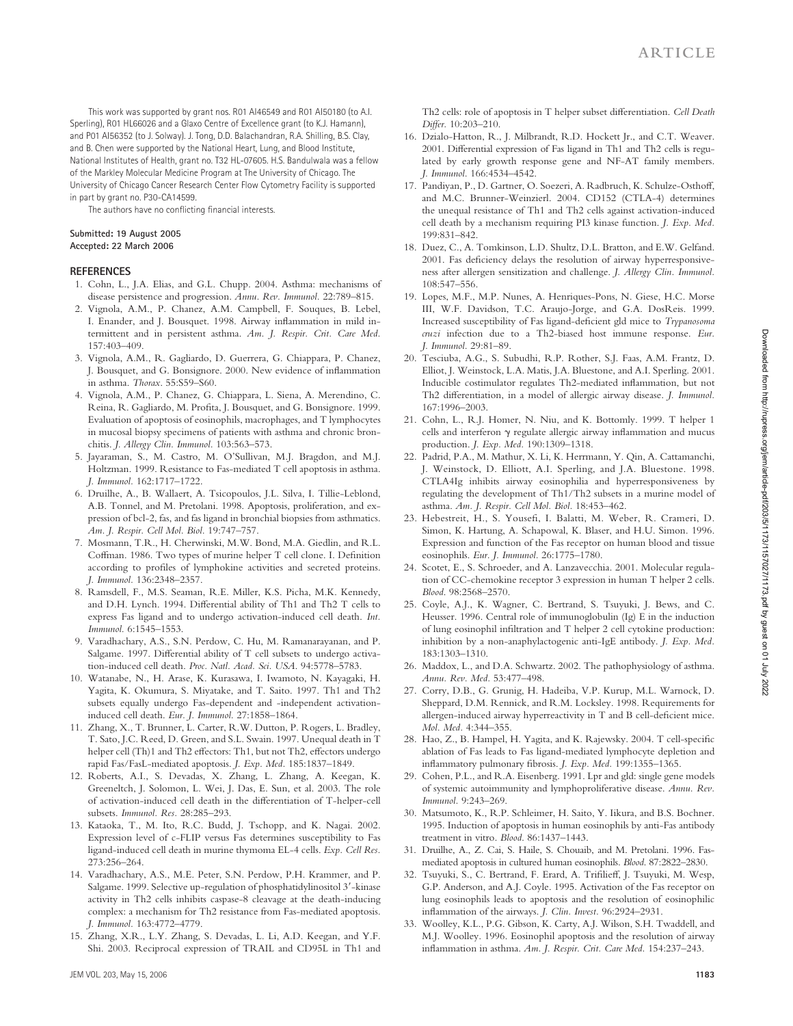This work was supported by grant nos. R01 AI46549 and R01 AI50180 (to A.I. Sperling), R01 HL66026 and a Glaxo Centre of Excellence grant (to K.J. Hamann), and P01 AI56352 (to J. Solway). J. Tong, D.D. Balachandran, R.A. Shilling, B.S. Clay, and B. Chen were supported by the National Heart, Lung, and Blood Institute, National Institutes of Health, grant no. T32 HL-07605. H.S. Bandulwala was a fellow of the Markley Molecular Medicine Program at The University of Chicago. The University of Chicago Cancer Research Center Flow Cytometry Facility is supported in part by grant no. P30-CA14599.

The authors have no conflicting financial interests.

#### **Submitted: 19 August 2005 Accepted: 22 March 2006**

#### **R E F E R E N C E S**

- 1. Cohn, L., J.A. Elias, and G.L. Chupp. 2004. Asthma: mechanisms of disease persistence and progression. *Annu. Rev. Immunol.* 22:789–815.
- 2. Vignola, A.M., P. Chanez, A.M. Campbell, F. Souques, B. Lebel, I. Enander, and J. Bousquet. 1998. Airway inflammation in mild intermittent and in persistent asthma. *Am. J. Respir. Crit. Care Med.* 157:403–409.
- 3. Vignola, A.M., R. Gagliardo, D. Guerrera, G. Chiappara, P. Chanez, J. Bousquet, and G. Bonsignore. 2000. New evidence of inflammation in asthma. *Thorax*. 55:S59–S60.
- 4. Vignola, A.M., P. Chanez, G. Chiappara, L. Siena, A. Merendino, C. Reina, R. Gagliardo, M. Profita, J. Bousquet, and G. Bonsignore. 1999. Evaluation of apoptosis of eosinophils, macrophages, and T lymphocytes in mucosal biopsy specimens of patients with asthma and chronic bronchitis. *J. Allergy Clin. Immunol.* 103:563–573.
- 5. Jayaraman, S., M. Castro, M. O'Sullivan, M.J. Bragdon, and M.J. Holtzman. 1999. Resistance to Fas-mediated T cell apoptosis in asthma. *J. Immunol.* 162:1717–1722.
- 6. Druilhe, A., B. Wallaert, A. Tsicopoulos, J.L. Silva, I. Tillie-Leblond, A.B. Tonnel, and M. Pretolani. 1998. Apoptosis, proliferation, and expression of bcl-2, fas, and fas ligand in bronchial biopsies from asthmatics. *Am. J. Respir. Cell Mol. Biol.* 19:747–757.
- 7. Mosmann, T.R., H. Cherwinski, M.W. Bond, M.A. Giedlin, and R.L. Coffman. 1986. Two types of murine helper T cell clone. I. Definition according to profiles of lymphokine activities and secreted proteins. *J. Immunol.* 136:2348–2357.
- 8. Ramsdell, F., M.S. Seaman, R.E. Miller, K.S. Picha, M.K. Kennedy, and D.H. Lynch. 1994. Differential ability of Th1 and Th2 T cells to express Fas ligand and to undergo activation-induced cell death. *Int. Immunol.* 6:1545–1553.
- 9. Varadhachary, A.S., S.N. Perdow, C. Hu, M. Ramanarayanan, and P. Salgame. 1997. Differential ability of T cell subsets to undergo activation-induced cell death. *Proc. Natl. Acad. Sci. USA*. 94:5778–5783.
- 10. Watanabe, N., H. Arase, K. Kurasawa, I. Iwamoto, N. Kayagaki, H. Yagita, K. Okumura, S. Miyatake, and T. Saito. 1997. Th1 and Th2 subsets equally undergo Fas-dependent and -independent activationinduced cell death. *Eur. J. Immunol.* 27:1858–1864.
- 11. Zhang, X., T. Brunner, L. Carter, R.W. Dutton, P. Rogers, L. Bradley, T. Sato, J.C. Reed, D. Green, and S.L. Swain. 1997. Unequal death in T helper cell (Th)1 and Th2 effectors: Th1, but not Th2, effectors undergo rapid Fas/FasL-mediated apoptosis. *J. Exp. Med.* 185:1837–1849.
- 12. Roberts, A.I., S. Devadas, X. Zhang, L. Zhang, A. Keegan, K. Greeneltch, J. Solomon, L. Wei, J. Das, E. Sun, et al. 2003. The role of activation-induced cell death in the differentiation of T-helper-cell subsets. *Immunol. Res.* 28:285–293.
- 13. Kataoka, T., M. Ito, R.C. Budd, J. Tschopp, and K. Nagai. 2002. Expression level of c-FLIP versus Fas determines susceptibility to Fas ligand-induced cell death in murine thymoma EL-4 cells. *Exp. Cell Res.* 273:256–264.
- 14. Varadhachary, A.S., M.E. Peter, S.N. Perdow, P.H. Krammer, and P. Salgame. 1999. Selective up-regulation of phosphatidylinositol 3′- kinase activity in Th2 cells inhibits caspase-8 cleavage at the death-inducing complex: a mechanism for Th2 resistance from Fas-mediated apoptosis. *J. Immunol.* 163:4772–4779.
- 15. Zhang, X.R., L.Y. Zhang, S. Devadas, L. Li, A.D. Keegan, and Y.F. Shi. 2003. Reciprocal expression of TRAIL and CD95L in Th1 and

Th2 cells: role of apoptosis in T helper subset differentiation. *Cell Death* Differ. 10:203-210.

- 16. Dzialo-Hatton, R., J. Milbrandt, R.D. Hockett Jr., and C.T. Weaver. 2001. Differential expression of Fas ligand in Th1 and Th2 cells is regulated by early growth response gene and NF-AT family members. *J. Immunol.* 166:4534–4542.
- 17. Pandiyan, P., D. Gartner, O. Soezeri, A. Radbruch, K. Schulze-Osthoff, and M.C. Brunner-Weinzierl. 2004. CD152 (CTLA-4) determines the unequal resistance of Th1 and Th2 cells against activation-induced cell death by a mechanism requiring PI3 kinase function. *J. Exp. Med.* 199:831–842.
- 18. Duez, C., A. Tomkinson, L.D. Shultz, D.L. Bratton, and E.W. Gelfand. 2001. Fas deficiency delays the resolution of airway hyperresponsiveness after allergen sensitization and challenge. *J. Allergy Clin. Immunol.* 108:547–556.
- 19. Lopes, M.F., M.P. Nunes, A. Henriques-Pons, N. Giese, H.C. Morse III, W.F. Davidson, T.C. Araujo-Jorge, and G.A. DosReis. 1999. Increased susceptibility of Fas ligand-deficient gld mice to *Trypanosoma cruzi* infection due to a Th2-biased host immune response. *Eur. J. Immunol.* 29:81–89.
- 20. Tesciuba, A.G., S. Subudhi, R.P. Rother, S.J. Faas, A.M. Frantz, D. Elliot, J. Weinstock, L.A. Matis, J.A. Bluestone, and A.I. Sperling. 2001. Inducible costimulator regulates Th2-mediated inflammation, but not Th2 differentiation, in a model of allergic airway disease. *J. Immunol*. 167:1996–2003.
- 21. Cohn, L., R.J. Homer, N. Niu, and K. Bottomly. 1999. T helper 1 cells and interferon  $\gamma$  regulate allergic airway inflammation and mucus production. *J. Exp. Med.* 190:1309–1318.
- 22. Padrid, P.A., M. Mathur, X. Li, K. Herrmann, Y. Qin, A. Cattamanchi, J. Weinstock, D. Elliott, A.I. Sperling, and J.A. Bluestone. 1998. CTLA4Ig inhibits airway eosinophilia and hyperresponsiveness by regulating the development of Th1/Th2 subsets in a murine model of asthma. *Am. J. Respir. Cell Mol. Biol.* 18:453–462.
- 23. Hebestreit, H., S. Yousefi, I. Balatti, M. Weber, R. Crameri, D. Simon, K. Hartung, A. Schapowal, K. Blaser, and H.U. Simon. 1996. Expression and function of the Fas receptor on human blood and tissue eosinophils. *Eur. J. Immunol.* 26:1775–1780.
- 24. Scotet, E., S. Schroeder, and A. Lanzavecchia. 2001. Molecular regulation of CC-chemokine receptor 3 expression in human T helper 2 cells. *Blood*. 98:2568–2570.
- 25. Coyle, A.J., K. Wagner, C. Bertrand, S. Tsuyuki, J. Bews, and C. Heusser. 1996. Central role of immunoglobulin (Ig) E in the induction of lung eosinophil infiltration and T helper 2 cell cytokine production: inhibition by a non-anaphylactogenic anti-IgE antibody. *J. Exp. Med.* 183:1303–1310.
- 26. Maddox, L., and D.A. Schwartz. 2002. The pathophysiology of asthma. *Annu. Rev. Med.* 53:477–498.
- 27. Corry, D.B., G. Grunig, H. Hadeiba, V.P. Kurup, M.L. Warnock, D. Sheppard, D.M. Rennick, and R.M. Locksley. 1998. Requirements for allergen-induced airway hyperreactivity in  $T$  and  $B$  cell-deficient mice. *Mol. Med.* 4:344–355.
- 28. Hao, Z., B. Hampel, H. Yagita, and K. Rajewsky. 2004. T cell-specific ablation of Fas leads to Fas ligand-mediated lymphocyte depletion and inflammatory pulmonary fibrosis. *J. Exp. Med.* 199:1355-1365.
- 29. Cohen, P.L., and R.A. Eisenberg. 1991. Lpr and gld: single gene models of systemic autoimmunity and lymphoproliferative disease. *Annu. Rev. Immunol.* 9:243–269.
- 30. Matsumoto, K., R.P. Schleimer, H. Saito, Y. Iikura, and B.S. Bochner. 1995. Induction of apoptosis in human eosinophils by anti-Fas antibody treatment in vitro. *Blood*. 86:1437–1443.
- 31. Druilhe, A., Z. Cai, S. Haile, S. Chouaib, and M. Pretolani. 1996. Fasmediated apoptosis in cultured human eosinophils. *Blood*. 87:2822–2830.
- 32. Tsuyuki, S., C. Bertrand, F. Erard, A. Trifilieff, J. Tsuyuki, M. Wesp, G.P. Anderson, and A.J. Coyle. 1995. Activation of the Fas receptor on lung eosinophils leads to apoptosis and the resolution of eosinophilic inflammation of the airways. *J. Clin. Invest.* 96:2924-2931.
- 33. Woolley, K.L., P.G. Gibson, K. Carty, A.J. Wilson, S.H. Twaddell, and M.J. Woolley. 1996. Eosinophil apoptosis and the resolution of airway inflammation in asthma. Am. J. Respir. Crit. Care Med. 154:237-243.